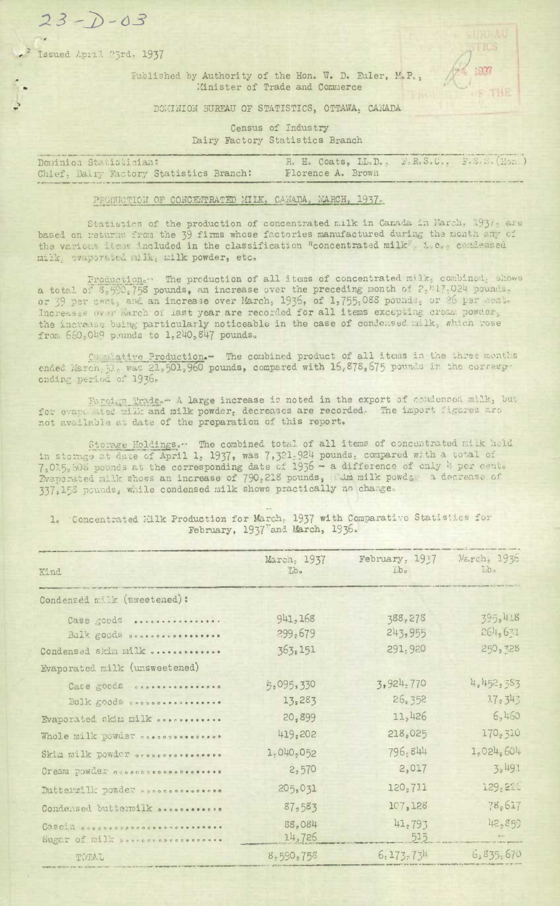Issued April 25rd, 1937

 $23 - D - 03$ 

Published by Authority of the Hon. W. D. Euler, M.P., Minister of Trade and Commerce

DOMINION BUREAU OF STATISTICS, OTTAWA, CANADA

THE

Census of Industry Dairy Factory Statistics Branch

| A way over the set of the state and contained by | The contract of the contract of the contract of the contract of the contract of the contract of the contract of the contract of the contract of the contract of the contract of the contract of the contract of the contract o |
|--------------------------------------------------|--------------------------------------------------------------------------------------------------------------------------------------------------------------------------------------------------------------------------------|
| Dowinion Statistician:                           | R. H. Coats, LL.D., F.R.S.C., F.S.S. (Hon.)                                                                                                                                                                                    |
| Chief, Dairy Mactory Statistics Branch:          | Florence A. Brown                                                                                                                                                                                                              |

## PECDUCTION OF CONCENTRATED MILK, CANADA, MARCH, 1937.

Statistics of the production of concentrated milk in Canada in March, 1937, are based on returns from the  $39$  firms whose factories manufactured during the month any of the various it say included in the classification "concentrated milk". i.e., condensed milk, evaporated milk, milk powder, etc.

Production. The production of all items of concentrated milk, combined, shows<br>a total of  $\frac{8}{30}590,758$  pounds, an increase over the preceding month of  $20417,024$  pounds,<br>or 39 per cent, and an increase over March, 19 Increases over march of last year are recorded for all items excepting cream powder, the increase being particularly noticeable in the case of condensed milk, which rose from 660,049 pounds to 1,240,847 pounds.

Cumulative Production.- The combined product of all items in the three months ended March, 31, was 21,501,960 pounds, compared with  $15.878.675$  pounds in the correspunding period of 1936.

Foreign Trade." A large increase is noted in the export of condensed milk, but for evapousted milk and milk powder, decreases are recorded. The import figures are not available at date of the preparation of this report.

Storage Holdings." The combined total of all items of concentrated milk held in storage at date of April 1, 1937, was 7,321,924 pounds, compared with a total of 7,015,506 pounds at the corresponding date of 1936 - a difference of only  $\frac{1}{2}$  per cent.<br>Everyorated milk shows an increase of 790,218 pounds, sim milk powds a decrease of 337,153 pounds, while condensed milk shows p

| Kind                                                                      | March, 1937<br>$Lb$ .      | February, 1937 March, 1936<br>ib <sub>a</sub> | ib <sub>1</sub>     |
|---------------------------------------------------------------------------|----------------------------|-----------------------------------------------|---------------------|
| Condensed milk (sweetened):                                               |                            |                                               |                     |
| Case goods<br>Bulk goods onornerverserer                                  | 941, 168<br>299,679        | 388,278<br>243,955                            | 395,418<br>264,633  |
| Condensed skim milk<br>Evaporated milk (unsweetened)                      | 363.151                    | 291,920                                       | 250, 728            |
| Case goods concernatives<br>Bulk goods coopoconocononie                   | 5.095.330<br>13,283        | 3,924,770<br>26.352                           | 4.452,383<br>17.343 |
| Evaporated skim milk<br>Whole milk powder coscooscooscos                  | 20,899<br>419,202          | 11,426<br>218,025                             | 6,450<br>170,310    |
| Skim milk powder oroccocococococo<br>Gream powder neconosoconoscessore    | 1,040,052<br>2,570         | 796,844<br>2,017                              | 1,024,604<br>3.493  |
| Buttermilk powder approximations                                          | 205,031                    | 120,711                                       | 129,220             |
| Condensed buttermilk occorrectors<br>Sugar of milk occase or obsessesses. | 87,583<br>88,084<br>14,725 | 107,128<br>41,793<br>515                      | 78,617<br>42,859    |
| TOTAL                                                                     | 8.590.758                  | 6.173.734                                     | 6,835,670           |

1. Concentrated Milk Production for March, 1937 with Comparative Statistics for February, 1937"and March, 1936.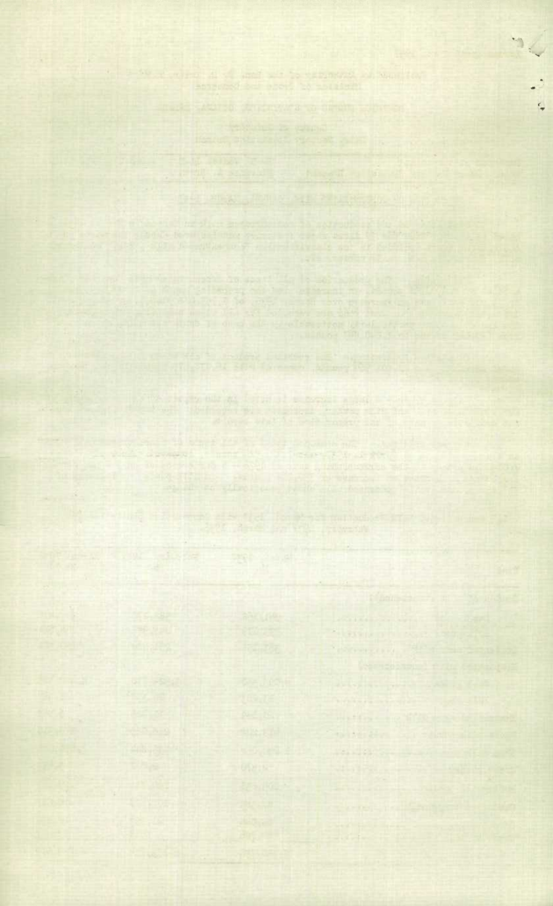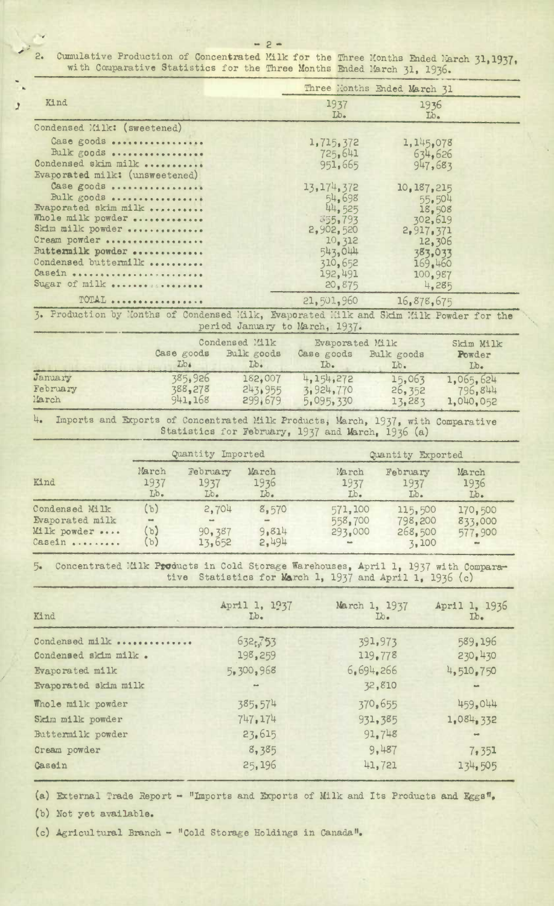$2.$ 

Cumulative Production of Concentrated Milk for the Three Months Ended March 31,1937. with Comparative Statistics for the Three Months Ended March 31, 1936.

|                                                                                           | Three Months Ended March 31                              |                                                          |  |
|-------------------------------------------------------------------------------------------|----------------------------------------------------------|----------------------------------------------------------|--|
| Kind                                                                                      | 1937<br>$Lb$ .                                           | 1936<br>$\mathbf{L}^{\mathbf{p}}$ .                      |  |
| Condensed Milk: (sweetened)                                                               |                                                          |                                                          |  |
| Case goods<br>Bulk goods<br>Condensed skim milk<br>Evaporated milk: (unsweetened)         | 1,715,372<br>725,641<br>951,665                          | 1,145,078<br>634,626<br>947,683                          |  |
| Case goods<br>Bulk goods<br>Evaporated skim milk<br>Whole milk powder<br>Skim milk powder | 13, 174, 372<br>54,698<br>44,525<br>355,793<br>2,902,520 | 10, 187, 215<br>55.504<br>18,508<br>302,619<br>2,917,371 |  |
| Cream powder                                                                              | 10, 312                                                  | 12,306                                                   |  |
| Buttermilk powder<br>Condensed buttermilk<br>Casein<br>Sugar of milk                      | 543,044<br>310,652<br>192,491<br>20,875                  | 383.033<br>169.460<br>100,987<br>4.285                   |  |
| TOTAL                                                                                     | 21,501,960                                               | 16,878,675                                               |  |

3. Production by Months of Condensed Milk, Evaporated Milk and Skim Milk Powder for the period January to March, 1937.

|          |            | Condensed Milk | Evaporated Milk | Skim Milk  |           |  |
|----------|------------|----------------|-----------------|------------|-----------|--|
|          | Case goods | Bulk goods     | Case goods      | Bulk goods | Powder    |  |
|          | Lb.        | Lb.            | $\n  Do$        | Lb.        | $Lb$ .    |  |
| January  | 385,926    | 182,007        | 4, 154, 272     | 15,063     | 1,065,624 |  |
| February | 388,278    | 243.955        | 3,924,770       | 26,352     | 796,844   |  |
| March    | 941.168    | 299,679        | 5,095,330       | 13,283     | 1,040,052 |  |

Imports and Exports of Concentrated Milk Products, March, 1937, with Comparative 4. Statistics for February, 1937 and March, 1936 (a)

|                                                            | Quantity Imported                        |                            | Quantity Exported       |                               |                                        |                               |  |
|------------------------------------------------------------|------------------------------------------|----------------------------|-------------------------|-------------------------------|----------------------------------------|-------------------------------|--|
| Kind                                                       | March<br>1937<br>$Lb$ .                  | February<br>1937<br>$Lb$ . | March<br>1936<br>$Ib$ . | March<br>1937<br>$Lb -$       | February<br>1937<br>$T^{p}$ .          | March<br>1936<br>Lb.          |  |
| Condensed Milk<br>Evaporated milk<br>Milk powder<br>Casein | (b)<br><b>SHE</b><br>(b)<br>$\mathbf{b}$ | 2,704<br>90,387<br>13,652  | 8,570<br>9.814<br>2,494 | 571,100<br>558,700<br>293,000 | 115,500<br>798,200<br>268,500<br>3,100 | 170,500<br>833,000<br>577,900 |  |

Concentrated Mik Products in Cold Storage Warehouses, April 1, 1937 with Compara- $5$ tive Statistics for March 1, 1937 and April 1, 1936 (c)

| Kind                 | April 1, 1937<br>$Lb$ . | March 1, 1937<br>$Ib$ . | April 1, 1936<br>$Ib$ . |
|----------------------|-------------------------|-------------------------|-------------------------|
| Condensed milk       | $632 - 53$              | 391,973                 | 589,196                 |
| Condensed skim milk. | 198,259                 | 119.778                 | 230, 430                |
| Evaporated milk      | 5,300,968               | 6,694,266               | 4,510,750               |
| Evaporated skim milk | their                   | 32,810                  |                         |
| Whole milk powder    | 385, 574                | 370,655                 | 459.044                 |
| Skim milk powder     | 747.174                 | 931,385                 | 1,084,332               |
| Buttermilk powder    | 23,615                  | 91,748                  |                         |
| Cream powder         | 8,385                   | 9.487                   | 7,351                   |
| Casein               | 25, 196                 | 41,721                  | 134,505                 |

(a) External Trade Report - "Imports and Exports of Milk and Its Products and Eggs".

(b) Not yet available.

(c) Agricultural Branch - "Cold Storage Holdings in Canada".